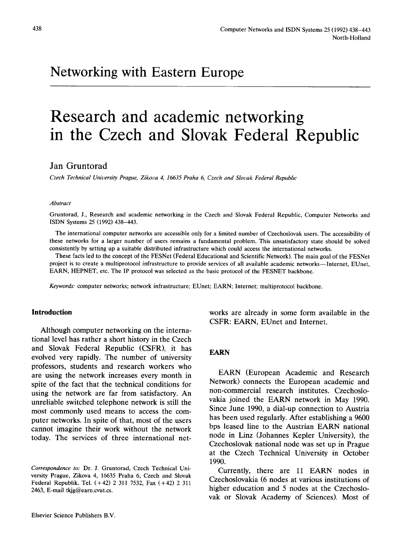# **Networking with Eastern Europe**

# **Research and academic networking in the Czech and Slovak Federal Republic**

# **Jan Gruntorad**

*Czech Technical University Prague, Zikova 4, 16635 Praha 6, Czech and Slovak Federal Republic* 

#### *Abstract*

Gruntorad, J., Research and academic networking in the Czech and Slovak Federal Republic, Computer Networks and ISDN Systems 25 (1992) 438-443.

The international computer networks are accessible only for a limited number of Czechoslovak users. The accessibility of these networks for a larger number of users remains a fundamental problem. This unsatisfactory state should be solved consistently by setting up a suitable distributed infrastructure which could access the international networks.

These facts led to the concept of the FESNet (Federal Educational and Scientific Network). The main goal of the FESNet project is to create a multiprotocol infrastructure to provide services of all available academic networks--Internet, EUnet, EARN, HEPNET, etc. The IP protocol was selected as the basic protocol of the FESNET backbone.

*Keywords:* computer networks; network infrastructure; EUnet; EARN; Internet; multiprotocol backbone.

#### **Introduction**

Although computer networking on the international level has rather a short history in the Czech and Slovak Federal Republic (CSFR), it has evolved very rapidly. The number of university professors, students and research workers who are using the network increases every month in spite of the fact that the technical conditions for using the network are far from satisfactory. An unreliable switched telephone network is still the most commonly used means to access the computer networks. In spite of that, most of the users cannot imagine their work without the network today. The services of three international networks are already in some form available in the CSFR: EARN, EUnet and Internet.

# EARN

EARN (European Academic and Research Network) connects the European academic and non-commercial research institutes. Czechoslovakia joined the EARN network in May 1990. Since June 1990, a dial-up connection to Austria has been used regularly. After establishing a 9600 bps leased line to the Austrian EARN national node in Linz (Johannes Kepler University), the Czechoslovak national node was set up in Prague at the Czech Technical University in October 1990.

Currently, there are 11 EARN nodes in Czechoslovakia (6 nodes at various institutions of higher education and 5 nodes at the Czechoslovak or Slovak Academy of Sciences). Most of

*Correspondence to:* Dr. J. Gruntorad, Czech Technical University Prague, Zikova 4, 16635 Praha 6, Czech and Slovak Federal Republik. Tel. (+42) 2 311 7532, Fax (+42) 2 311 2463, E-mail tkjg@earn.cvut.cs.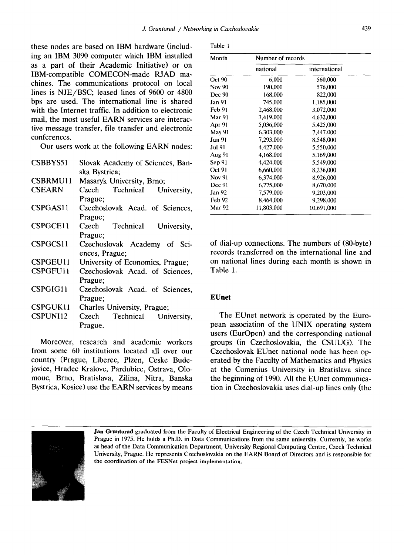these nodes are based on IBM hardware (including an IBM 3090 computer which IBM installed as a part of their Academic Initiative) or on IBM-compatible COMECON-made RJAD machines. The communications protocol on local lines is NJE/BSC; leased lines of 9600 or 4800 bps are used. The international line is shared with the Internet traffic. In addition to electronic mail, the most useful EARN services are interactive message transfer, file transfer and electronic conferences.

Our users work at the following EARN nodes:

| CSBBYS51        | Slovak Academy of Sciences, Ban-  |
|-----------------|-----------------------------------|
|                 | ska Bystrica;                     |
| <b>CSBRMU11</b> | Masaryk University, Brno;         |
| CSEARN          | Technical<br>Czech<br>University, |
|                 | Prague;                           |
| CSPGAS11        | Czechoslovak Acad. of Sciences,   |
|                 | Prague;                           |
| CSPGCE11        | Technical University,<br>Czech    |
|                 | Prague;                           |
| CSPGCS11        | Czechoslovak Academy of Sci-      |
|                 | ences, Prague:                    |
| CSPGEU11        | University of Economics, Prague;  |
| <b>CSPGFU11</b> | Czechoslovak Acad. of Sciences,   |
|                 | Prague:                           |
| CSPGIG11        | Czechoslovak Acad. of Sciences,   |
|                 | Prague;                           |
| <b>CSPGUK11</b> | Charles University, Prague;       |
| <b>CSPUNI12</b> | Technical<br>Czech<br>University, |
|                 | Prague.                           |
|                 |                                   |

Moreover, research and academic workers from some 60 institutions located all over our country (Prague, Liberec, Plzen, Ceske Budejovice, Hradec Kralove, Pardubice, Ostrava, Olomouc, Brno, Bratislava, Zilina, Nitra, Banska Bystrica, Kosice) use the EARN services by means

|  |  | 1 |  |
|--|--|---|--|
|--|--|---|--|

| Month         | Number of records |               |  |
|---------------|-------------------|---------------|--|
|               | national          | international |  |
| Oct 90        | 6,000             | 560,000       |  |
| Nov 90        | 190,000           | 576,000       |  |
| <b>Dec 90</b> | 168,000           | 822,000       |  |
| Jan 91        | 745,000           | 1,185,000     |  |
| Feb 91        | 2,468,000         | 3,072,000     |  |
| Mar 91        | 3,419,000         | 4,632,000     |  |
| Apr 91        | 5,036,000         | 5,425,000     |  |
| <b>May 91</b> | 6,303,000         | 7,447,000     |  |
| Jun 91        | 7,293,000         | 8,548,000     |  |
| Jul 91        | 4,427,000         | 5,550,000     |  |
| Aug 91        | 4,168,000         | 5,169,000     |  |
| Sep 91        | 4,424,000         | 5,549,000     |  |
| Oct 91        | 6,660,000         | 8,236,000     |  |
| Nov 91        | 6,374,000         | 8,926,000     |  |
| Dec 91        | 6,775,000         | 8,670,000     |  |
| Jan 92        | 7,579,000         | 9,203,000     |  |
| Feb 92        | 8,464,000         | 9,298,000     |  |
| Mar 92        | 11.803.000        | 10,691,000    |  |

of dial-up connections. The numbers of (80-byte) records transferred on the international line and on national lines during each month is shown in Table 1.

# **EUnet**

The EUnet network is operated by the European association of the UNIX operating system users (EurOpen) and the corresponding national groups (in Czechoslovakia, the CSUUG). The Czechoslovak EUnet national node has been operated by the Faculty of Mathematics and Physics at the Comenius University in Bratislava since the beginning of 1990. All the EUnet communication in Czechoslovakia uses dial-up lines only (the



Jan Gruntorad graduated from the Faculty of Electrical Engineering of the Czech Technical University in Prague in 1975. He holds a Ph.D. in Data Communications from the same university. Currently, he works as head of the Data Communication Department, University Regional Computing Centre, Czech Technical University, Prague. He represents Czechoslovakia on the EARN Board of Directors and is responsible for the coordination of the FESNet project implementation.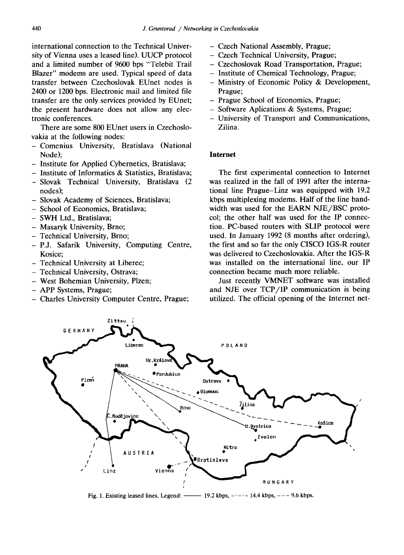international connection to the Technical University of Vienna uses a leased line). UUCP protocol and a limited number of 9600 bps "Telebit Trail Blazer" modems are used. Typical speed of data transfer between Czechoslovak EUnet nodes is 2400 or 1200 bps. Electronic mail and limited file transfer are the only services provided by EUnet; the present hardware does not allow any electronic conferences.

There are some 800 EUnet users in Czechoslovakia at the following nodes:

- **-Comenius** University, Bratislava (National Node);
- Institute for Applied Cybernetics, Bratislava;
- Institute of Informatics & Statistics, Bratislava;
- **-Slovak** Technical University, Bratislava (2 nodes);
- Slovak Academy of Sciences, Bratislava;
- School of Economics, Bratislava;
- SWH Ltd., Bratislava;
- Masaryk University, Brno;
- Technical University, Brno;
- -P.J. Safarik University, Computing Centre, Kosice;
- Technical University at Liberec;
- Technical University, Ostrava;
- West Bohemian University, Plzen;
- APP Systems, Prague;
- Charles University Computer Centre, Prague;
- Czech National Assembly, Prague;
- Czech Technical University, Prague;
- Czechoslovak Road Transportation, Prague;
- Institute of Chemical Technology, Prague;
- Ministry of Economic Policy & Development, Prague;
- Prague School of Economics, Prague;
- Software Aplications & Systems, Prague;
- University of Transport and Communications, Zilina.

#### **Internet**

The first experimental connection to Internet was realized in the fall of 1991 after the international line Prague-Linz was equipped with 19.2 kbps multiplexing modems. Half of the line bandwidth was used for the EARN NJE/BSC protocol; the other half was used for the IP connection. PC-based routers with SLIP protocol were used. In January 1992 (8 months after ordering), the first and so far the only CISCO IGS-R router was delivered to Czechoslovakia. After the IGS-R was installed on the international line, our IP connection became much more reliable.

Just recently VMNET software was installed and NJE over TCP/1P communication is being utilized. The official opening of the Internet net-



Fig. 1. Existing leased lines. Legend:  $\longrightarrow$  19.2 kbps,  $-$  -  $-$  14.4 kbps,  $-$  -  $-$  9.6 kbps.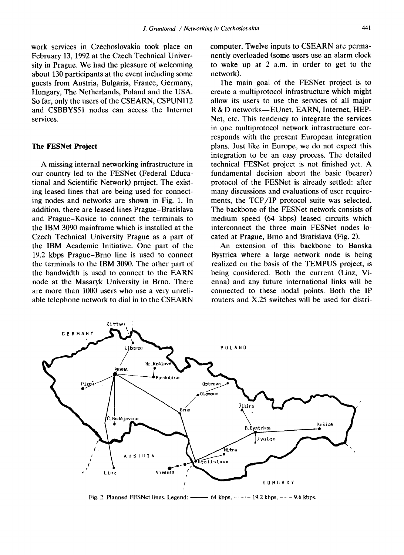work services in Czechoslovakia took place on February 13, 1992 at the Czech Technical University in Prague. We had the pleasure of welcoming about 130 participants at the event including some guests from Austria, Bulgaria, France, Germany, Hungary, The Netherlands, Poland and the USA. So far, only the users of the CSEARN, CSPUNI12 and CSBBYS51 nodes can access the Internet services.

#### **The FESNet Project**

A missing internal networking infrastructure in our country led to the FESNet (Federal Educational and Scientific NetworK) project. The existing leased lines that are being used for connecting nodes and networks are shown in Fig. 1. In addition, there are leased lines Prague-Bratislava and Prague-Kosice to connect the terminals to the IBM 3090 mainframe which is installed at the Czech Technical University Prague as a part of the IBM Academic Initiative. One part of the 19.2 kbps Prague-Brno line is used to connect the terminals to the IBM 3090. The other part of the bandwidth is used to connect to the EARN node at the Masaryk University in Brno. There are more than 1000 users who use a very unreliable telephone network to dial in to the CSEARN

computer. Twelve inputs to CSEARN are permanently overloaded (some users use an alarm clock to wake up at 2 a.m. in order to get to the network).

The main goal of the FESNet project is to create a multiprotocol infrastructure which might allow its users to use the services of all major R& D networks--EUnet, EARN, Internet, HEP-Net, etc. This tendency to integrate the services in one multiprotocol network infrastructure corresponds with the present European integration plans. Just like in Europe, we do not expect this integration to be an easy process. The detailed technical FESNet project is not finished yet. A fundamental decision about the basic (bearer) protocol of the FESNet is already settled: after many discussions and evaluations of user requirements, the TCP/IP protocol suite was selected. The backbone of the FESNet network consists of medium speed (64 kbps) leased circuits which interconnect the three main FESNet nodes located at Prague, Brno and Bratislava (Fig. 2).

An extension of this backbone to Banska Bystrica where a large network node is being realized on the basis of the TEMPUS project, is being considered. Both the current (Linz, Vienna) and any future international links will be connected to these nodal points. Both the IP routers and X.25 switches will be used for distri-



Fig. 2. Planned FESNet lines. Legend:  $\rightarrow$  64 kbps,  $\rightarrow$  -  $\rightarrow$  19.2 kbps,  $\rightarrow$  -  $\rightarrow$  9.6 kbps.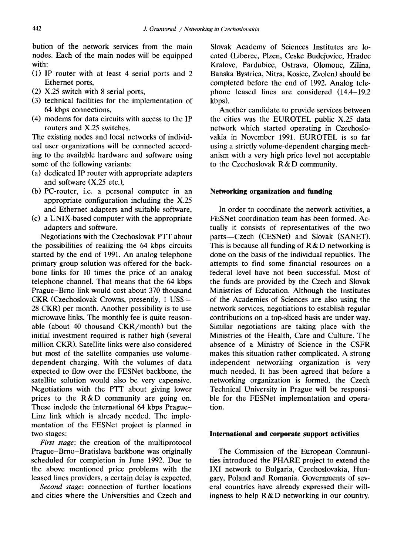bution of the network services from the main nodes. Each of the main nodes will be equipped with:

- (1) IP router with at least 4 serial ports and 2 Ethernet ports,
- (2) X.25 switch with 8 serial ports,
- (3) technical facilities for the implementation of 64 kbps connections,
- (4) modems for data circuits with access to the IP routers and X.25 switches.

The existing nodes and local networks of individual user organizations will be connected according to the available hardware and software using some of the following variants:

- (a) dedicated IP router with appropriate adapters and software (X.25 etc.),
- (b) PC-router, i.e. a personal computer in an appropriate configuration including the X.25 and Ethernet adapters and suitable software,
- (c) a UNIX-based computer with the appropriate adapters and software.

Negotiations with the Czechoslovak PTT about the possibilities of realizing the 64 kbps circuits started by the end of 1991. An analog telephone primary group solution was offered for the backbone links for 10 times the price of an analog telephone channel. That means that the 64 kbps Prague-Brno link would cost about 370 thousand CKR (Czechoslovak Crowns, presently,  $1 \text{ US}\$ =$ 28 CKR) per month. Another possibility is to use microwave links. The monthly fee is quite reasonable (about 40 thousand CKR/month) but the initial investment required is rather high (several million CKR). Satellite links were also considered but most of the satellite companies use volumedependent charging. With the volumes of data expected to flow over the FESNet backbone, the satellite solution would also be very expensive. Negotiations with the PTT about giving lower prices to the R&D community are going on. These include the international 64 kbps Prague-Linz link which is already needed. The implementation of the FESNet project is planned in two stages:

*First stage:* the creation of the multiprotocol Prague-Brno-Bratislava backbone was originally scheduled for completion in June 1992. Due to the above mentioned price problems with the leased lines providers, a certain delay is expected.

*Second stage:* connection of further locations and cities where the Universities and Czech and Slovak Academy of Sciences Institutes are located (Liberec, Plzen, Ceske Budejovice, Hradec Kralove, Pardubice, Ostrava, Olomouc, Zilina, Banska Bystrica, Nitra, Kosice, Zvolen) should be completed before the end of 1992. Analog telephone leased lines are considered (14.4-19.2 kbps).

Another candidate to provide services between the cities was the EUROTEL public X.25 data network which started operating in Czechoslovakia in November 1991. EUROTEL is so far using a strictly volume-dependent charging mechanism with a very high price level not acceptable to the Czechoslovak R&D community.

### **Networking organization and funding**

In order to coordinate the network activities, a FESNet coordination team has been formed. Actually it consists of representatives of the two parts--Czech (CESNet) and Slovak (SANET). This is because all funding of  $R & D$  networking is done on the basis of the individual republics. The attempts to find some financial resources on a federal level have not been successful. Most of the funds are provided by the Czech and Slovak Ministries of Education. Although the Institutes of the Academies of Sciences are also using the network services, negotiations to establish regular contributions on a top-sliced basis are under way. Similar negotiations are taking place with the Ministries of the Health, Care and Culture. The absence of a Ministry of Science in the CSFR makes this situation rather complicated. A strong independent networking organization is very much needed. It has been agreed that before a networking organization is formed, the Czech Technical University in Prague will be responsible for the FESNet implementation and operation.

#### **International and corporate support activities**

The Commission of the European Communities introduced the PHARE project to extend the IX1 network to Bulgaria, Czechoslovakia, Hungary, Poland and Romania. Governments of several countries have already expressed their willingness to help  $R & D$  networking in our country.